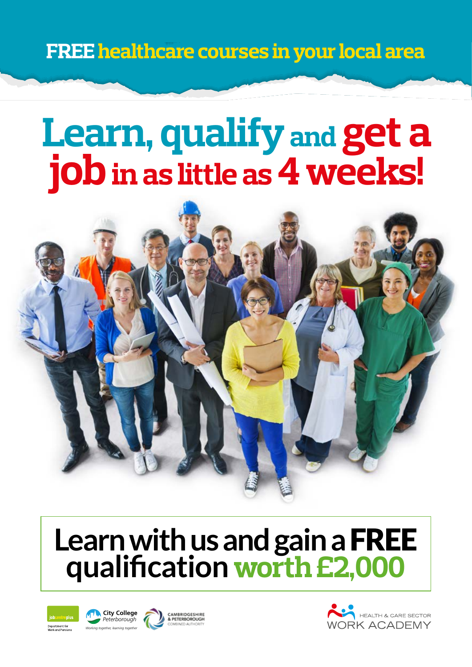**FREE healthcare courses in your local area**

# **Learn, qualify and get a job** in as little as 4 weeks!



## **Learn with us and gain a** FREE **qualification worth £2,000**